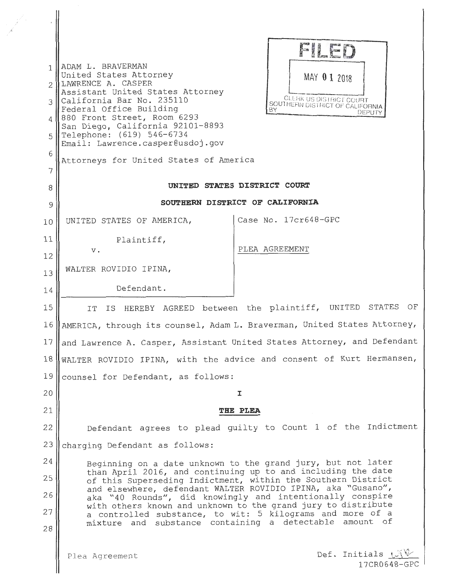| 1<br>$\mathcal{L}$<br>3<br>4<br>5<br>6<br>7 | ADAM L. BRAVERMAN<br>United States Attorney<br>LAWRENCE A. CASPER<br>Assistant United States Attorney<br>California Bar No. 235110<br>Federal Office Building<br>880 Front Street, Room 6293<br>San Diego, California 92101-8893<br>Telephone: (619) 546-6734<br>Email: Lawrence.casper@usdoj.gov<br>Attorneys for United States of America | FILED<br>MAY 0 1 2018<br><b>CLEAK US DISTRICT COURT</b><br>SOUTHERN DISTRICT OF CALIFORNIA<br>BY.<br>DEPUTY |
|---------------------------------------------|---------------------------------------------------------------------------------------------------------------------------------------------------------------------------------------------------------------------------------------------------------------------------------------------------------------------------------------------|-------------------------------------------------------------------------------------------------------------|
| 8                                           | UNITED STATES DISTRICT COURT                                                                                                                                                                                                                                                                                                                |                                                                                                             |
| 9                                           | SOUTHERN DISTRICT OF CALIFORNIA                                                                                                                                                                                                                                                                                                             |                                                                                                             |
| 10                                          | UNITED STATES OF AMERICA,                                                                                                                                                                                                                                                                                                                   | Case No. 17cr648-GPC                                                                                        |
| 11                                          | Plaintiff,                                                                                                                                                                                                                                                                                                                                  |                                                                                                             |
| 12                                          | v.                                                                                                                                                                                                                                                                                                                                          | PLEA AGREEMENT                                                                                              |
| 13                                          | WALTER ROVIDIO IPINA,                                                                                                                                                                                                                                                                                                                       |                                                                                                             |
| 14                                          | Defendant.                                                                                                                                                                                                                                                                                                                                  |                                                                                                             |
| 15                                          | IS HEREBY AGREED between the plaintiff, UNITED STATES OF<br>IT                                                                                                                                                                                                                                                                              |                                                                                                             |
| 16                                          | AMERICA, through its counsel, Adam L. Braverman, United States Attorney,                                                                                                                                                                                                                                                                    |                                                                                                             |
| 17                                          | and Lawrence A. Casper, Assistant United States Attorney, and Defendant                                                                                                                                                                                                                                                                     |                                                                                                             |
| 18                                          | WALTER ROVIDIO IPINA, with the advice and consent of Kurt Hermansen,                                                                                                                                                                                                                                                                        |                                                                                                             |
| 19                                          | counsel for Defendant, as follows:                                                                                                                                                                                                                                                                                                          |                                                                                                             |
| 20                                          | I                                                                                                                                                                                                                                                                                                                                           |                                                                                                             |
| 21<br>22                                    | THE PLEA<br>Defendant agrees to plead guilty to Count 1 of the Indictment                                                                                                                                                                                                                                                                   |                                                                                                             |
| 23                                          |                                                                                                                                                                                                                                                                                                                                             |                                                                                                             |
| 24                                          | charging Defendant as follows:                                                                                                                                                                                                                                                                                                              |                                                                                                             |
| 25                                          | Beginning on a date unknown to the grand jury, but not later<br>than April 2016, and continuing up to and including the date                                                                                                                                                                                                                |                                                                                                             |
| 26                                          | of this Superseding Indictment, within the Southern District<br>and elsewhere, defendant WALTER ROVIDIO IPINA, aka "Gusano",<br>aka "40 Rounds", did knowingly and intentionally conspire                                                                                                                                                   |                                                                                                             |
| 27                                          | with others known and unknown to the grand jury to distribute<br>a controlled substance, to wit: 5 kilograms and more of a                                                                                                                                                                                                                  |                                                                                                             |
| 28                                          | mixture and substance containing a detectable amount of                                                                                                                                                                                                                                                                                     |                                                                                                             |
|                                             | Plea Agreement                                                                                                                                                                                                                                                                                                                              | Def. Initials (                                                                                             |

17CR0648-GPC

 $\frac{1}{2}$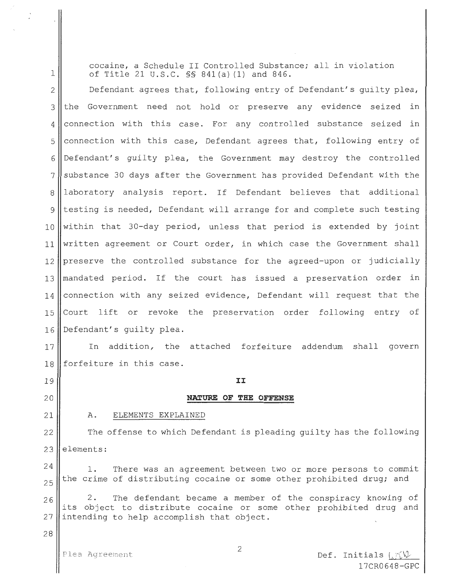cocaine, a Schedule II Controlled Substance; all in violation of Title 21 U.S.C. §§ 841 (a) (1) and 846.

2 Defendant agrees that, following entry of Defendant's guilty plea,  $3$  the Government need not hold or preserve any evidence seized in 4 connection with this case. For any controlled substance seized in  $5$  connection with this case, Defendant agrees that, following entry of 6 Defendant's guilty plea, the Government may destroy the controlled  $7$  substance 30 days after the Government has provided Defendant with the 8 laboratory analysis report. If Defendant believes that additional 9 testing is needed, Defendant will arrange for and complete such testing  $10$  within that 30-day period, unless that period is extended by joint  $11$  written agreement or Court order, in which case the Government shall 12 | preserve the controlled substance for the agreed-upon or judicially 13 mandated period. If the court has issued a preservation order in  $14$  connection with any seized evidence, Defendant will request that the 15 Court lift or revoke the preservation order following entry of 16 Defendant's quilty plea.

17 || In addition, the attached forfeiture addendum shall govern 18 forfeiture in this case.

 $\mathbf{I}$  9  $\parallel$   $\qquad$   $\qquad$   $\qquad$   $\qquad$   $\qquad$   $\qquad$   $\qquad$   $\qquad$   $\qquad$   $\qquad$   $\qquad$   $\qquad$   $\qquad$   $\qquad$   $\qquad$   $\qquad$   $\qquad$   $\qquad$   $\qquad$   $\qquad$   $\qquad$   $\qquad$   $\qquad$   $\qquad$   $\qquad$   $\qquad$   $\qquad$   $\qquad$   $\qquad$   $\qquad$   $\qquad$   $\qquad$   $\qquad$   $\qquad$ 

#### 20 **NATURE OF THE OFFENSE**

21

1

A. ELEMENTS EXPLAINED

22 23 The offense to which Defendant is pleading guilty has the following elements:

24 25 1. There was an agreement between two or more persons to commit the crime of distributing cocaine or some other prohibited drug; and

26 27 2. The defendant became a member of the conspiracy knowing of its object to distribute cocaine or some other prohibited drug and intending to help accomplish that object.

28

Plea Agreement 2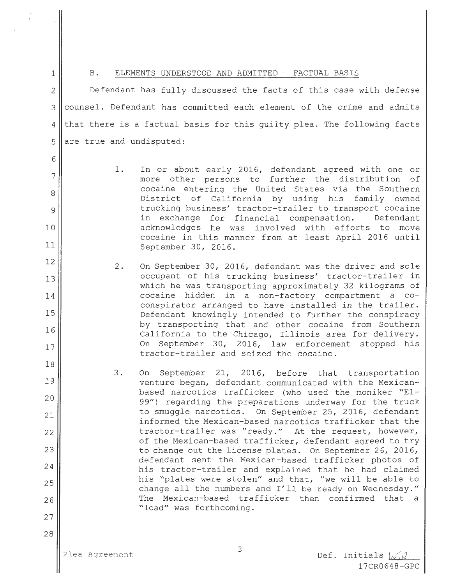6

7

8

9

10

11

12

13

14

15

16

17

18

19

20

21

22

23

24

25

26

27

28

#### 1 || B. ELEMENTS UNDERSTOOD AND ADMITTED - FACTUAL BASIS

2 || Defendant has fully discussed the facts of this case with defense 3 counsel. Defendant has committed each element of the crime and admits  $4$  that there is a factual basis for this guilty plea. The following facts 5 are true and undisputed:

- 1. In or about early 2016, defendant agreed with one or more other persons to further the distribution of cocaine entering the United States via the Southern District of California by using his family owned trucking business' tractor-trailer to transport cocaine in exchange for financial compensation. Defendant acknowledges he was involved with efforts to move cocaine in this manner from at least April 2016 until September 30, 2016.
- 2. On September 30, 2016, defendant was the driver and sole occupant of his trucking business' tractor-trailer in which he was transporting approximately 32 kilograms of cocaine hidden in a non-factory compartment a coconspirator arranged to have installed in the trailer. Defendant knowingly intended to further the conspiracy by transporting that and other cocaine from Southern California to the Chicago, Illinois area for delivery. On September 30, 2016, law enforcement stopped his tractor-trailer and seized the cocaine.
- 3. On September 21, 2016, before that transportation venture began, defendant communicated with the Mexicanbased narcotics trafficker (who used the moniker "El-99") regarding the preparations underway for the truck to smuggle narcotics. On September 25, 2016, defendant informed the Mexican-based narcotics trafficker that the tractor-trailer was "ready." At the request, however, of the Mexican-based trafficker, defendant agreed to try to change out the license plates. On September 26, 2016, defendant sent the Mexican-based trafficker photos of his tractor-trailer and explained that he had claimed his "plates were stolen" and that, "we will be able to change all the numbers and I'll be ready on Wednesday." The Mexican-based trafficker then confirmed that a "load" was forthcoming.

Def. Initials  $\sqrt{2}$ 17CR0648-GPC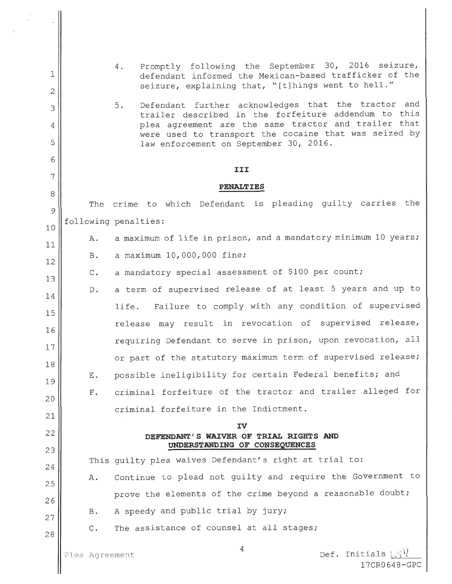| 1<br>$\mathbf{2}$<br>3<br>4<br>5 |                      | Promptly following the September 30, 2016 seizure,<br>4.<br>defendant informed the Mexican-based trafficker of the<br>seizure, explaining that, "[t]hings went to hell."<br>Defendant further acknowledges that the tractor and<br>5.<br>trailer described in the forfeiture addendum to this<br>plea agreement are the same tractor and trailer that<br>were used to transport the cocaine that was seized by<br>law enforcement on September 30, 2016. |
|----------------------------------|----------------------|----------------------------------------------------------------------------------------------------------------------------------------------------------------------------------------------------------------------------------------------------------------------------------------------------------------------------------------------------------------------------------------------------------------------------------------------------------|
| 6<br>7                           |                      | III                                                                                                                                                                                                                                                                                                                                                                                                                                                      |
| 8                                |                      | <b>PENALTIES</b>                                                                                                                                                                                                                                                                                                                                                                                                                                         |
| 9                                |                      | The crime to which Defendant is pleading guilty carries the                                                                                                                                                                                                                                                                                                                                                                                              |
| 10                               |                      | following penalties:                                                                                                                                                                                                                                                                                                                                                                                                                                     |
| 11                               | Α.                   | a maximum of life in prison, and a mandatory minimum 10 years;                                                                                                                                                                                                                                                                                                                                                                                           |
| 12                               | <b>B.</b>            | a maximum 10,000,000 fine;<br>a mandatory special assessment of \$100 per count;                                                                                                                                                                                                                                                                                                                                                                         |
| 13                               | $\mathbb{C}$ .<br>D. | a term of supervised release of at least 5 years and up to                                                                                                                                                                                                                                                                                                                                                                                               |
| 14                               |                      | life. Failure to comply with any condition of supervised                                                                                                                                                                                                                                                                                                                                                                                                 |
| 15                               |                      | release may result in revocation of supervised release,                                                                                                                                                                                                                                                                                                                                                                                                  |
| 16<br>17                         |                      | requiring Defendant to serve in prison, upon revocation, all                                                                                                                                                                                                                                                                                                                                                                                             |
| 18                               |                      | or part of the statutory maximum term of supervised release;                                                                                                                                                                                                                                                                                                                                                                                             |
| 19                               | Е.                   | possible ineligibility for certain Federal benefits; and                                                                                                                                                                                                                                                                                                                                                                                                 |
| 20                               | $F$ .                | criminal forfeiture of the tractor and trailer alleged for                                                                                                                                                                                                                                                                                                                                                                                               |
| 21                               |                      | criminal forfeiture in the Indictment.                                                                                                                                                                                                                                                                                                                                                                                                                   |
| 22                               |                      | ΙV<br>DEFENDANT'S WAIVER OF TRIAL RIGHTS AND                                                                                                                                                                                                                                                                                                                                                                                                             |
| 23                               |                      | UNDERSTANDING OF CONSEQUENCES<br>This quilty plea waives Defendant's right at trial to:                                                                                                                                                                                                                                                                                                                                                                  |
| 24                               | Α.                   | Continue to plead not guilty and require the Government to                                                                                                                                                                                                                                                                                                                                                                                               |
| 25                               |                      | prove the elements of the crime beyond a reasonable doubt;                                                                                                                                                                                                                                                                                                                                                                                               |
| 26                               | B.                   | A speedy and public trial by jury;                                                                                                                                                                                                                                                                                                                                                                                                                       |
| 27<br>28                         | $\mathsf{C}$ .       | The assistance of counsel at all stages;                                                                                                                                                                                                                                                                                                                                                                                                                 |
|                                  | Plea Agreement       | 4<br>Def. Initials $\cup \{$<br>17CR0648-GPC                                                                                                                                                                                                                                                                                                                                                                                                             |

 $\ddot{\phantom{1}}$ 

 $\bigg\}$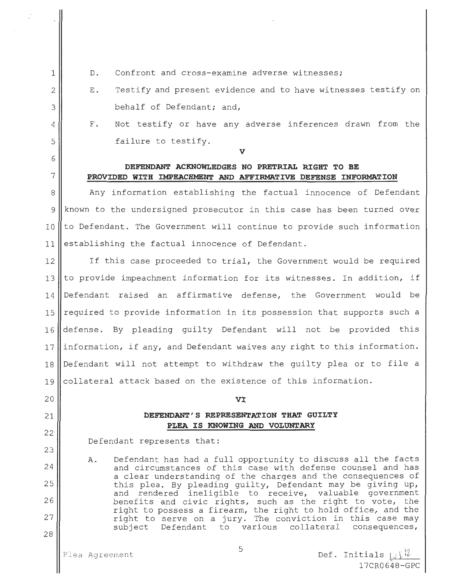2 3

4

5

6

22

23

24

25

26

27

28

1

- D. Confront and cross-examine adverse witnesses;
- E. Testify and present evidence and to have witnesses testify on behalf of Defendant; and,
- F. Not testify or have any adverse inferences drawn from the failure to testify.

#### **V**

# **DEFENDANT ACKNOWLEDGES NO PRETRIAL RIGHT TO BE**  7 **PROVIDED WITH IMPEACHMENT AND AFFIRMATIVE DEFENSE INFORMATION**

8 Any information establishing the factual innocence of Defendant 9 known to the undersigned prosecutor in this case has been turned over  $10$  to Defendant. The Government will continue to provide such information 11 establishing the factual innocence of Defendant.

12 If this case proceeded to trial, the Government would be required 13 Ito provide impeachment information for its witnesses. In addition, if 14 Defendant raised an affirmative defense, the Government would be 15  $\parallel$  required to provide information in its possession that supports such a 16 defense. By pleading guilty Defendant will not be provided this 17  $\parallel$  information, if any, and Defendant waives any right to this information. 18 Defendant will not attempt to withdraw the guilty plea or to file a 19 collateral attack based on the existence of this information.

## 20 **VI**

# 21 **DEFENDANT' S REPRESENTATION THAT GUILTY PLEA IS KNOWING AND VOLUNTARY**

Defendant represents that:

A. Defendant has had a full opportunity to discuss all the facts and circumstances of this case with defense counsel and has a clear understanding of the charges and the consequences of this plea. By pleading guilty, Defendant may be giving up, and rendered ineligible to receive, valuable government benefits and civic rights, such as the right to vote, the right to possess a firearm, the right to hold office, and the right to serve on a jury. The conviction in this case may<br>subject Defendant to various collateral consequences, Defendant to various collateral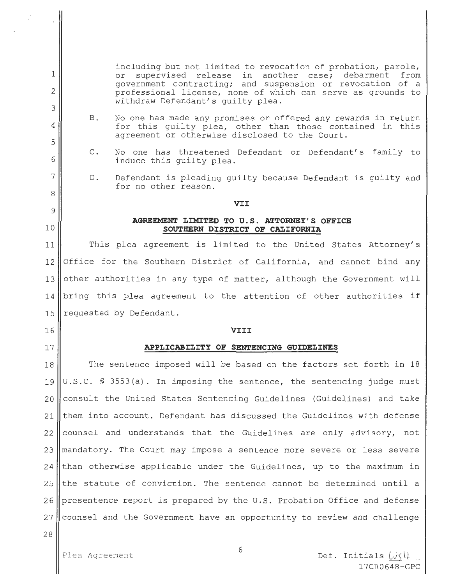including but not limited to revocation of probation, parole,<br>or supervised release in another case: debarment from or supervised release in another case; debarment government contracting; and suspension or revocation of a professional license, none of which can serve as grounds to withdraw Defendant's guilty plea.

- B. No one has made any promises or offered any rewards in return for this guilty plea, other than those contained in this agreement or otherwise disclosed to the Court.
- C. No one has threatened Defendant or Defendant's family to induce this guilty plea.
- D. Defendant is pleading guilty because Defendant is guilty and for no other reason.

#### **VII**

#### **AGREEMENT LIMITED TO U.S. ATTORNEY'S OFFICE SOUTHERN DISTRICT OF CALIFORNIA**

11 This plea agreement is limited to the United States Attorney's 12 Office for the Southern District of California, and cannot bind any 13 other authorities in any type of matter, although the Government will 14 bring this plea agreement to the attention of other authorities if 15  $\parallel$  requested by Defendant.

# 16 **VIII**

#### 17 **APPLICABILITY OF SENTENCING GUIDELINES**

18 The sentence imposed will be based on the factors set forth in 18 19  $\parallel$  U.S.C. § 3553(a). In imposing the sentence, the sentencing judge must  $20$  consult the United States Sentencing Guidelines (Guidelines) and take 21 them into account. Defendant has discussed the Guidelines with defense  $22$  counsel and understands that the Guidelines are only advisory, not  $23$  mandatory. The Court may impose a sentence more severe or less severe  $24$  than otherwise applicable under the Guidelines, up to the maximum in 25 the statute of conviction. The sentence cannot be determined until a 26 presentence report is prepared by the U.S. Probation Office and defense  $27$  counsel and the Government have an opportunity to review and challenge

28

1

2

3

4

5

6

7

8

9

10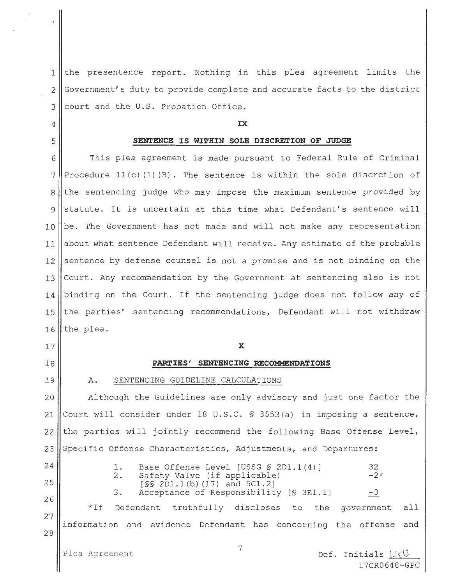1 || the presentence report. Nothing in this plea agreement limits the 2 Government's duty to provide complete and accurate facts to the district 3 || court and the U.S. Probation Office.

#### 4 **IX**

#### 5 **SENTENCE IS WITHIN SOLE DISCRETION OF JUDGE**

6 This plea agreement is made pursuant to Federal Rule of Criminal 7 Procedure 11(c) (1) (B). The sentence is within the sole discretion of  $8$  the sentencing judge who may impose the maximum sentence provided by  $9$  statute. It is uncertain at this time what Defendant's sentence will 10 be. The Government has not made and will not make any representation 11 about what sentence Defendant will receive. Any estimate of the probable  $12$  sentence by defense counsel is not a promise and is not binding on the 13 Court. Any recommendation by the Government at sentencing also is not 14 binding on the Court. If the sentencing judge does not follow any of 15 || the parties' sentencing recommendations, Defendant will not withdraw  $16$  the plea.

#### 17 **X**

#### 18 **PARTIES' SENTENCING RECOMMENDATIONS**

19

#### A. SENTENCING GUIDELINE CALCULATIONS

20 Although the Guidelines are only advisory and just one factor the 21 Court will consider under 18 U.S.C. § 3553(a) in imposing a sentence,  $22$  the parties will jointly recommend the following Base Offense Level, 23 Specific Offense Characteristics, Adjustments, and Departures:

24 25 26

27

28

1. Base Offense Level [USSG § 2D1.1(4)] 32<br>2. Safety Valve (if applicable) -2\* 2. Safety Valve (if applicable)  $[$ *SS* 2D1.1(*b*)  $(17)$  and  $5C1.2$ ] 3. Acceptance of Responsibility  $[$3E1.1]$  -3 \*If Defendant truthfully discloses to the government all information and evidence Defendant has concerning the offense and

Plea Agreement 7

**Def.** Initials  $\bigcup_{i=1}^{n} \bigcup_{i=1}^{n} \bigcup_{i=1}^{n} \bigcup_{i=1}^{n} \bigcup_{i=1}^{n} \bigcup_{i=1}^{n} \bigcup_{i=1}^{n} \bigcup_{i=1}^{n} \bigcup_{i=1}^{n} \bigcup_{i=1}^{n} \bigcup_{i=1}^{n} \bigcup_{i=1}^{n} \bigcup_{i=1}^{n} \bigcup_{i=1}^{n} \bigcup_{i=1}^{n} \bigcup_{i=1}^{n} \bigcup_{i=1}^{n} \bigcup_{i=1}^{n} \bigcup_{i=1$ 17CR0648-GPC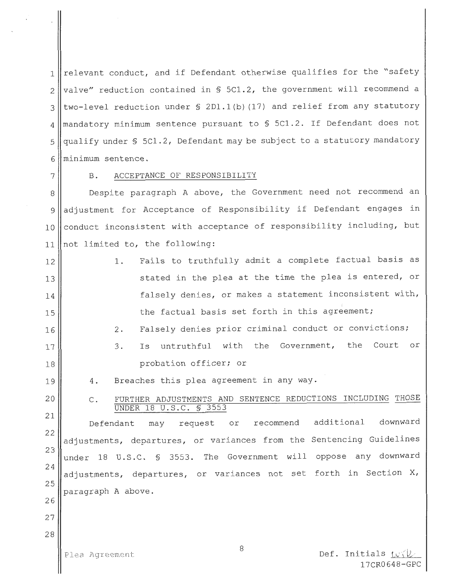1 relevant conduct, and if Defendant otherwise qualifies for the "safety  $2$  | valve" reduction contained in § 5C1.2, the government will recommend a 3 || two-level reduction under § 2Dl.1(b) (17) and relief from any statutory 4 || mandatory minimum sentence pursuant to \$ 5C1.2. If Defendant does not 5 gualify under § 5Cl.2, Defendant may be subject to a statutory mandatory 6 minimum sentence.

# 7 | B. ACCEPTANCE OF RESPONSIBILITY

8 || Despite paragraph A above, the Government need not recommend an 9 adjustment for Acceptance of Responsibility if Defendant engages in 10 conduct inconsistent with acceptance of responsibility including, but 11 not limited to, the following:

12 13 14 15 16 17 18 1. 2. 3. Fails to truthfully admit a complete factual basis as stated in the plea at the time the plea is entered, or falsely denies, or makes a statement inconsistent with, the factual basis set forth in this agreement; Falsely denies prior criminal conduct or convictions; Is untruthful with the Government, the Court or probation officer; or

4. Breaches this plea agreement in any way.

C. FURTHER ADJUSTMENTS AND SENTENCE REDUCTIONS INCLUDING THOSE UNDER 18 U.S.C. § 3553

22 23 24 25 Defendant may request or recommend additional downward adjustments, departures, or variances from the Sentencing Guidelines under 18 U.S.C. § 3553. The Government will oppose any downward adjustments, departures, or variances not set forth in Section X, paragraph A above.

27 28

26

19

20

21

Plea Agreement  $\frac{1}{\sqrt{1-\frac{1}{n}}}$ 17CR0648-GPC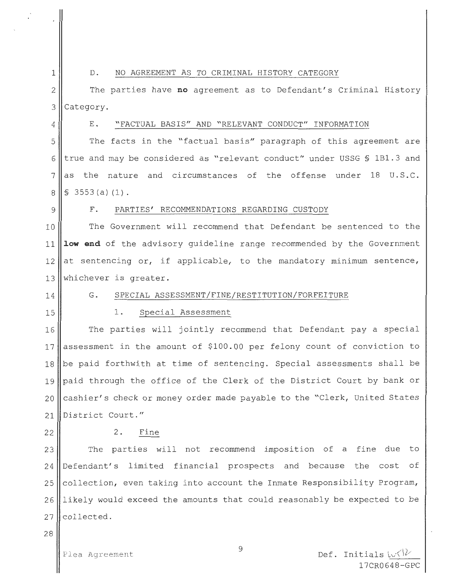#### 1 | D. NO AGREEMENT AS TO CRIMINAL HISTORY CATEGORY

2 The parties have **no** agreement as to Defendant's Criminal History  $3$  Category.

# 4 | E. "FACTUAL BASIS" AND "RELEVANT CONDUCT" INFORMATION

5 The facts in the "factual basis" paragraph of this agreement are 6 true and may be considered as "relevant conduct" under USSG § 1B1.3 and  $7$  as the nature and circumstances of the offense under 18 U.S.C.  $8$   $\parallel$  \$ 3553 (a) (1).

#### 9 F. PARTIES' RECOMMENDATIONS REGARDING CUSTODY

10 || The Government will recommend that Defendant be sentenced to the 11 **1ow end** of the advisory guideline range recommended by the Government  $12$  at sentencing or, if applicable, to the mandatory minimum sentence, 13 Whichever is greater.

14

15

#### G. SPECIAL ASSESSMENT/FINE/RESTITUTION/FORFEITURE

#### 1. Special Assessment

16 The parties will jointly recommend that Defendant pay a special 17 assessment in the amount of \$100.00 per felony count of conviction to  $18$  be paid forthwith at time of sentencing. Special assessments shall be 19 paid through the office of the Clerk of the District Court by bank or 20  $\|$  cashier's check or money order made payable to the "Clerk, United States" 21 District Court."

2. Fine

23 The parties will not recommend imposition of a fine due to 24 Defendant's limited financial prospects and because the cost of  $25$  collection, even taking into account the Inmate Responsibility Program, 26 likely would exceed the amounts that could reasonably be expected to be  $27$  collected.

28

22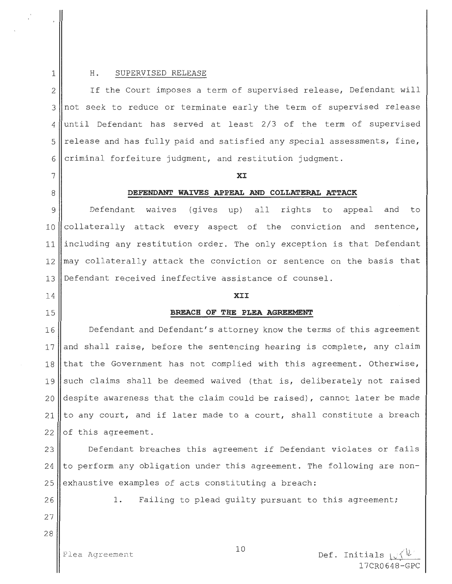#### 1 H. SUPERVISED RELEASE

2 If the Court imposes a term of supervised release, Defendant will 3 not seek to reduce or terminate early the term of supervised release  $4$  until Defendant has served at least 2/3 of the term of supervised  $5$  release and has fully paid and satisfied any special assessments, fine,  $6$  criminal forfeiture judgment, and restitution judgment.

#### 7 **XI**

#### 8 **DEFENDANT WAIVES APPEAL AND COLLATERAL ATTACK**

9 Defendant waives (gives up) all rights to appeal and to 10 collaterally attack every aspect of the conviction and sentence, 11 including any restitution order. The only exception is that Defendant  $12$  may collaterally attack the conviction or sentence on the basis that 13 Defendant received ineffective assistance of counsel.

# 14 **XII**

#### 15 **BREACH OF THE PLEA AGREEMENT**

16 Defendant and Defendant's attorney know the terms of this agreement 17 and shall raise, before the sentencing hearing is complete, any claim  $18$  that the Government has not complied with this agreement. Otherwise, 19 such claims shall be deemed waived (that is, deliberately not raised 20 despite awareness that the claim could be raised), cannot later be made 21 to any court, and if later made to a court, shall constitute a breach  $22$  of this agreement.

23 Defendant breaches this agreement if Defendant violates or fails  $24$  to perform any obligation under this agreement. The following are non- $25$  exhaustive examples of acts constituting a breach:

26

27

28

1. Failing to plead quilty pursuant to this agreement;

Plea Agreement

10

Def. Initials  $\downarrow \downarrow$ 17CR0648-GPC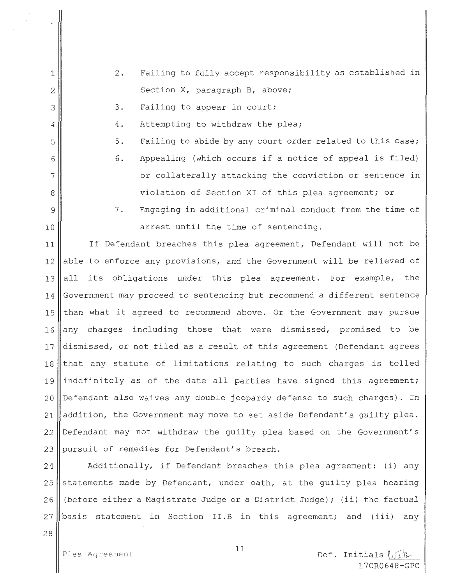1

- 2 . Failing to fully accept responsibility as established in Section X, paragraph B, above;
- 3. Failing to appear in court;
- 4. Attempting to withdraw the plea;
- 5. Failing to abide by any court order related to this case;
- 6. Appealing (which occurs if a notice of appeal is filed) or collaterally attacking the conviction or sentence in violation of Section XI of this plea agreement; or
- 7. Engaging in additional criminal conduct from the time of 10 || arrest until the time of sentencing.

11 || If Defendant breaches this plea agreement, Defendant will not be 12 able to enforce any provisions, and the Government will be relieved of  $13$  all its obligations under this plea agreement. For example, the 14 Government may proceed to sentencing but recommend a different sentence 15 than what it agreed to recommend above. Or the Government may pursue  $16$  any charges including those that were dismissed, promised to be 17 dismissed, or not filed as a result of this agreement (Defendant agrees  $18$  that any statute of limitations relating to such charges is tolled 19 indefinitely as of the date all parties have signed this agreement; 20 Defendant also waives any double jeopardy defense to such charges). In 21 addition, the Government may move to set aside Defendant's quilty plea. 22 Defendant may not withdraw the guilty plea based on the Government's 23 | pursuit of remedies for Defendant's breach.

24 || Additionally, if Defendant breaches this plea agreement: (i) any 25 statements made by Defendant, under oath, at the guilty plea hearing 26 (before either a Magistrate Judge or a District Judge); (ii) the factual  $27$  basis statement in Section II.B in this agreement; and (iii) any

28

Def. Initials  $\cup$ 17CR0648-GPC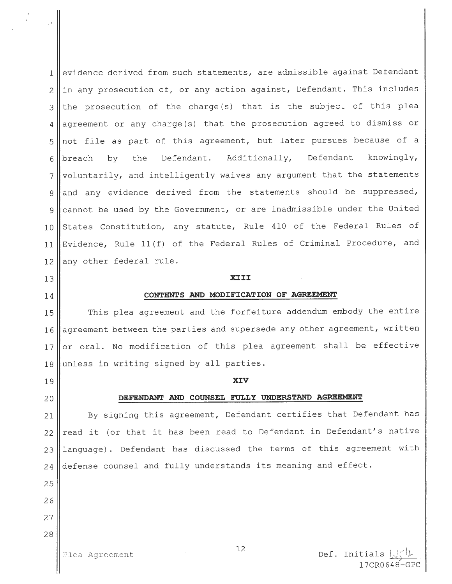evidence derived from such statements, are admissible against Defendant ||in any prosecution of, or any action against, Defendant. This includes the prosecution of the charge (s) that is the subject of this plea  $4 \parallel$  agreement or any charge(s) that the prosecution agreed to dismiss or not file as part of this agreement, but later pursues because of a 6 breach by the Defendant. Additionally, Defendant knowingly, voluntarily, and intelligently waives any argument that the statements and any evidence derived from the statements should be suppressed, 9 cannot be used by the Government, or are inadmissible under the United 10 States Constitution, any statute, Rule 410 of the Federal Rules of Evidence, Rule ll(f) of the Federal Rules of Criminal Procedure, and any other federal rule.

# 13 **XIII**

#### 14 **CONTENTS AND MODIFICATION OF AGREEMENT**

15 || This plea agreement and the forfeiture addendum embody the entire 16 || agreement between the parties and supersede any other agreement, written 17 || or oral. No modification of this plea agreement shall be effective  $18$  unless in writing signed by all parties.

### 19 **XIV**

### 20 **DEFENDANT AND COUNSEL FULLY UNDERSTAND AGREEMENT**

21 || By signing this agreement, Defendant certifies that Defendant has  $22$  | read it (or that it has been read to Defendant in Defendant's native 23 || language). Defendant has discussed the terms of this agreement with 24 defense counsel and fully understands its meaning and effect.

25

26 27

28

Plea Agreement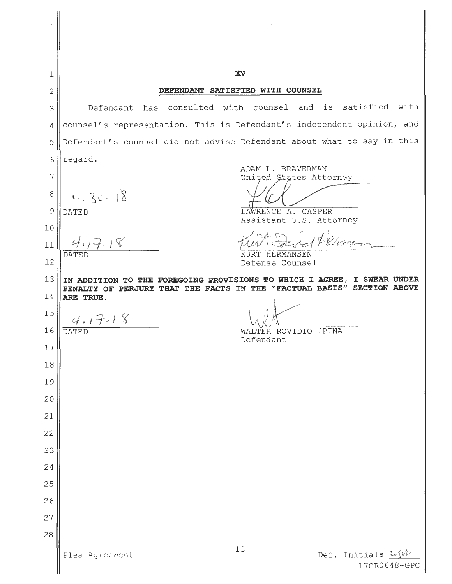| $1\,$      | XV                                                                                                                                                |
|------------|---------------------------------------------------------------------------------------------------------------------------------------------------|
| $\sqrt{2}$ | DEFENDANT SATISFIED WITH COUNSEL                                                                                                                  |
| 3          | is satisfied with<br>Defendant has consulted with counsel<br>and                                                                                  |
| 4          | counsel's representation. This is Defendant's independent opinion, and                                                                            |
| 5          | Defendant's counsel did not advise Defendant about what to say in this                                                                            |
| 6          | regard.<br>ADAM L. BRAVERMAN                                                                                                                      |
| 7          | United States Attorney                                                                                                                            |
| $\, 8$     | 30.18                                                                                                                                             |
| 9          | LAWRENCE A.<br>CASPER<br><b>DATED</b><br>Assistant U.S. Attorney                                                                                  |
| 10         |                                                                                                                                                   |
| 11         | KURT HERMANSEN<br><b>DATED</b>                                                                                                                    |
| 12         | Defense Counsel                                                                                                                                   |
| 13         | IN ADDITION TO THE FOREGOING PROVISIONS TO WHICH I AGREE, I SWEAR UNDER<br>PENALTY OF PERJURY THAT THE FACTS IN THE "FACTUAL BASIS" SECTION ABOVE |
| 14         | ARE TRUE.                                                                                                                                         |
| 15         | $4.17 - 18$                                                                                                                                       |
| 16         | WALTER ROVIDIO IPINA<br>DATED<br>Defendant                                                                                                        |
| $17\,$     |                                                                                                                                                   |
| 18         |                                                                                                                                                   |
| 19         |                                                                                                                                                   |
| 20         |                                                                                                                                                   |
| 21         |                                                                                                                                                   |
| 22         |                                                                                                                                                   |
| 23         |                                                                                                                                                   |
| 24         |                                                                                                                                                   |
| 25         |                                                                                                                                                   |
| 26         |                                                                                                                                                   |
| 27         |                                                                                                                                                   |
| 28         | 13                                                                                                                                                |
|            | Def. Initials LyM<br>Plea Agreement<br>17CR0648-GPC                                                                                               |

 $\epsilon$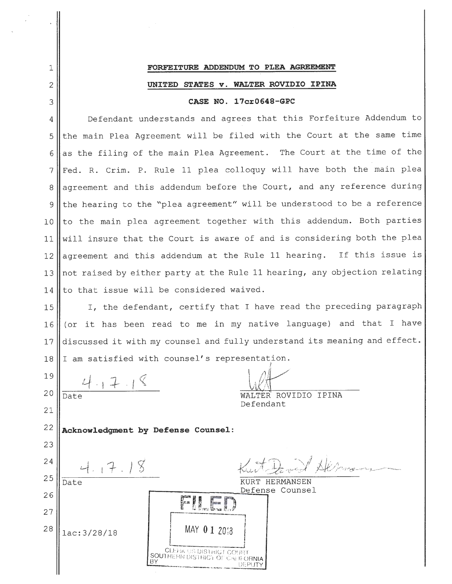# 1 **FORFEITURE ADDENDUM TO PLEA AGREEMENT**  2 **UNITED STATES v. WALTER ROVIDIO IPINA**  3 **CASE NO. 17cr0648-GPC**

4 || Defendant understands and agrees that this Forfeiture Addendum to 5 Ithe main Plea Agreement will be filed with the Court at the same time  $6$  as the filing of the main Plea Agreement. The Court at the time of the 7 Fed. R. Crim. P. Rule 11 plea colloquy will have both the main plea 8 agreement and this addendum before the Court, and any reference during 9 Ithe hearing to the "plea agreement" will be understood to be a reference  $10$  to the main plea agreement together with this addendum. Both parties 11 will insure that the Court is aware of and is considering both the plea  $12$  agreement and this addendum at the Rule 11 hearing. If this issue is 13 not raised by either party at the Rule 11 hearing, any objection relating 14 Ito that issue will be considered waived.

15 || I, the defendant, certify that I have read the preceding paragraph 16 (or it has been read to me in my native language) and that I have 17 || discussed it with my counsel and fully understand its meaning and effect. 18 I am satisfied with counsel's representation.

19  $4.17.18$ 20 Date **WALTER** ROVIDIO IPINA Defendant 21 22 **Acknowledgment by Defense Counsel:**  23 24  $4.17.18$ 25 Date KURT HERMANSEN Defense Counsel 26 **FILED**<br>MAY 01 2018 27 28 lac:3/28/18 L<br>CLEHK US DISTRICT COURT SOUTHERN UISTRICT COURT<br>BY UTHERN DISTRICT OF CALIFORNIA<br>DEPUTY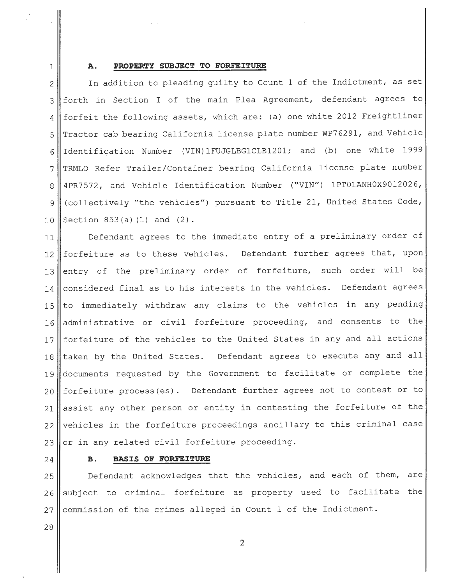#### **A. PROPERTY SUBJECT TO FORFEITURE**

-

2 In addition to pleading guilty to Count 1 of the Indictment, as set 3 | forth in Section I of the main Plea Agreement, defendant agrees to 4 | forfeit the following assets, which are: (a) one white 2012 Freightliner 5 Tractor cab bearing California license plate number WP76291, and Vehicle 6 Identification Number (VIN) 1FUJGLBG1CLB1201; and (b) one white 1999 7 TRMLO Refer Trailer/Container bearing California license plate number 8 4PR7572, and Vehicle Identification Number ("VIN") 1PT01ANH0X9012026, 9 (collectively "the vehicles") pursuant to Title 21, United States Code, 10 Section  $853(a)(1)$  and  $(2)$ .

11 || Defendant agrees to the immediate entry of a preliminary order of 12 forfeiture as to these vehicles. Defendant further agrees that, upon 13 entry of the preliminary order of forfeiture, such order will be 14 | considered final as to his interests in the vehicles. Defendant agrees 15 to immediately withdraw any claims to the vehicles in any pending 16 administrative or civil forfeiture proceeding, and consents to the 17 | forfeiture of the vehicles to the United States in any and all actions 18 || taken by the United States. Defendant agrees to execute any and all 19 documents requested by the Government to facilitate or complete the 20 forfeiture process(es). Defendant further agrees not to contest or to 21 || assist any other person or entity in contesting the forfeiture of the  $22$  vehicles in the forfeiture proceedings ancillary to this criminal case 23 or in any related civil forfeiture proceeding.

**B. BASIS OF FORFEITURE** 

25 Defendant acknowledges that the vehicles, and each of them, are 26 || subject to criminal forfeiture as property used to facilitate the  $27$  commission of the crimes alleged in Count 1 of the Indictment.

28

24

1

2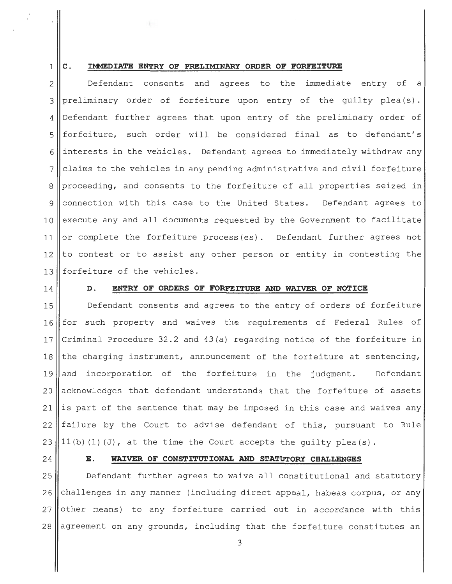#### 1 **C. IMMEDIATE ENTRY OF PRELIMINARY ORDER OF FORFEITURE**

2 3  $\Delta$ 5 6 7 8 Defendant consents and agrees to the immediate entry of a preliminary order of forfeiture upon entry of the guilty plea(s). Defendant further agrees that upon entry of the preliminary order of forfeiture, such order will be considered final as to defendant's interests in the vehicles. Defendant agrees to immediately withdraw any claims to the vehicles in any pending administrative and civil forfeiture proceeding, and consents to the forfeiture of all properties seized in 9 connection with this case to the United States. Defendant agrees to  $10$  execute any and all documents requested by the Government to facilitate 11 or complete the forfeiture process (es). Defendant further agrees not  $12$  to contest or to assist any other person or entity in contesting the 13 forfeiture of the vehicles.

#### 14 **D. ENTRY OF ORDERS OF FORFEITURE AND WAIVER OF NOTICE**

15 Defendant consents and agrees to the entry of orders of forfeiture 16 for such property and waives the requirements of Federal Rules of 17 Criminal Procedure 32.2 and 43(a) regarding notice of the forfeiture in 18 the charging instrument, announcement of the forfeiture at sentencing, 19 and incorporation of the forfeiture in the judgment. Defendant 20 acknowledges that defendant understands that the forfeiture of assets 21 is part of the sentence that may be imposed in this case and waives any 22 failure by the Court to advise defendant of this, pursuant to Rule 23 |  $|11(b)(1)(J)$ , at the time the Court accepts the guilty plea(s).

#### 24 **E. WAIVER OF CONSTITUTIONAL AND STATUTORY CHALLENGES**

**Defendant further agrees to waive all constitutional and statutory**  challenges in any manner (including direct appeal, habeas corpus, or any other means) to any forfeiture carried out in accordance with this agreement on any grounds, including that the forfeiture constitutes an